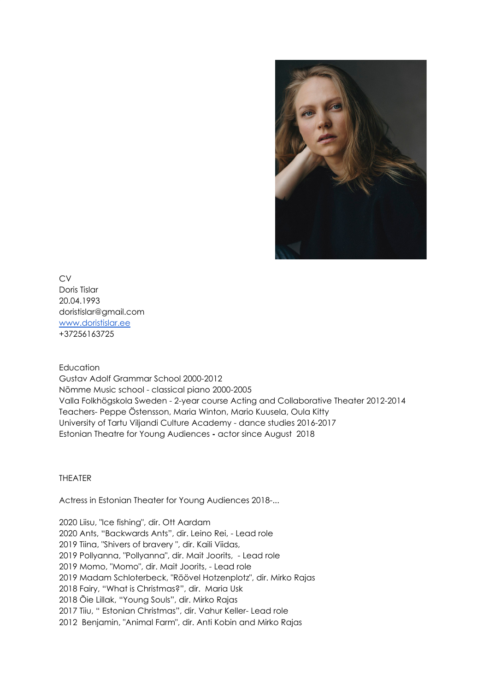

**CV** Doris Tislar 20.04.1993 doristislar@gmail.com [www.doristislar.ee](http://www.doristislar.ee/) +37256163725

## Education

Gustav Adolf Grammar School 2000-2012 Nõmme Music school - classical piano 2000-2005 Valla Folkhögskola Sweden - 2-year course Acting and Collaborative Theater 2012-2014 Teachers- Peppe Östensson, Maria Winton, Mario Kuusela, Oula Kitty University of Tartu Viljandi Culture Academy - dance studies 2016-2017 Estonian Theatre for Young Audiences **-** actor since August 2018

## THEATER

Actress in Estonian Theater for Young Audiences 2018-...

 Liisu, "Ice fishing", dir. Ott Aardam Ants, "Backwards Ants", dir. Leino Rei, - Lead role Tiina, "Shivers of bravery ", dir. Kaili Viidas, Pollyanna, "Pollyanna", dir. Mait Joorits, - Lead role Momo, "Momo", dir. Mait Joorits, - Lead role Madam Schloterbeck, "Röövel Hotzenplotz", dir. Mirko Rajas Fairy, "What is Christmas?", dir. Maria Usk Õie Lillak, "Young Souls", dir. Mirko Rajas Tiiu, " Estonian Christmas", dir. Vahur Keller- Lead role Benjamin, "Animal Farm", dir. Anti Kobin and Mirko Rajas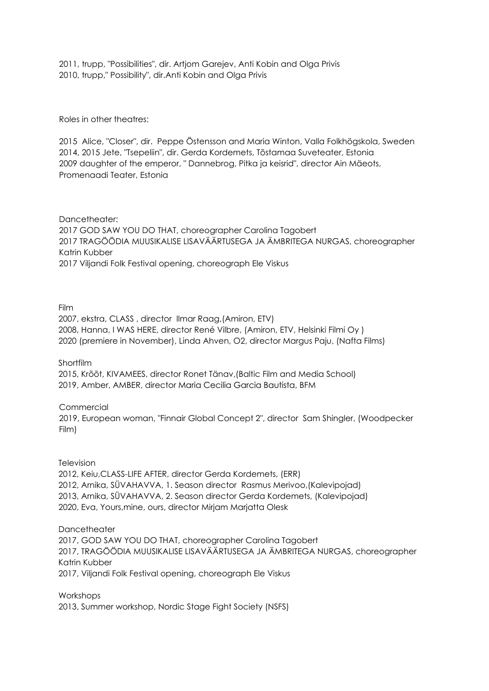2011, trupp, "Possibilities", dir. Artjom Garejev, Anti Kobin and Olga Privis 2010, trupp," Possibility", dir.Anti Kobin and Olga Privis

Roles in other theatres:

2015 Alice, "Closer", dir. Peppe Östensson and Maria Winton, Valla Folkhögskola, Sweden 2014, 2015 Jete, "Tsepeliin", dir. Gerda Kordemets, Tõstamaa Suveteater, Estonia 2009 daughter of the emperor, " Dannebrog, Pitka ja keisrid", director Ain Mäeots, Promenaadi Teater, Estonia

Dancetheater: 2017 GOD SAW YOU DO THAT, choreographer Carolina Tagobert 2017 TRAGÖÖDIA MUUSIKALISE LISAVÄÄRTUSEGA JA ÄMBRITEGA NURGAS, choreographer Katrin Kubber 2017 Viljandi Folk Festival opening, choreograph Ele Viskus

Film

2007, ekstra, CLASS , director Ilmar Raag,(Amiron, ETV) 2008, Hanna, I WAS HERE, director René Vilbre, (Amiron, ETV, Helsinki Filmi Oy ) 2020 (premiere in November), Linda Ahven, O2, director Margus Paju, (Nafta Films)

Shortfilm

2015, Krõõt, KIVAMEES, director Ronet Tänav,(Baltic Film and Media School) 2019, Amber, AMBER, director Maria Cecilia Garcia [Bautista,](https://www.youtube.com/channel/UCavC8vo4RI4_Sp9_yYYaDaQ) BFM

**Commercial** 

2019, European woman, "Finnair Global Concept 2", director Sam Shingler, (Woodpecker Film)

**Television** 

2012, Keiu,CLASS-LIFE AFTER, director Gerda Kordemets, (ERR) 2012, Arnika, SÜVAHAVVA, 1. Season director Rasmus Merivoo,(Kalevipojad) 2013, Arnika, SÜVAHAVVA, 2. Season director Gerda Kordemets, (Kalevipojad) 2020, Eva, Yours,mine, ours, director Mirjam Marjatta Olesk

**Dancetheater** 2017, GOD SAW YOU DO THAT, choreographer Carolina Tagobert

2017, TRAGÖÖDIA MUUSIKALISE LISAVÄÄRTUSEGA JA ÄMBRITEGA NURGAS, choreographer Katrin Kubber 2017, Viljandi Folk Festival opening, choreograph Ele Viskus

Workshops 2013, Summer workshop, Nordic Stage Fight Society (NSFS)